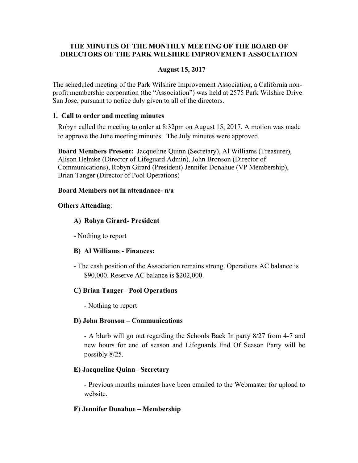# **THE MINUTES OF THE MONTHLY MEETING OF THE BOARD OF DIRECTORS OF THE PARK WILSHIRE IMPROVEMENT ASSOCIATION**

## **August 15, 2017**

The scheduled meeting of the Park Wilshire Improvement Association, a California nonprofit membership corporation (the "Association") was held at 2575 Park Wilshire Drive. San Jose, pursuant to notice duly given to all of the directors.

### **1. Call to order and meeting minutes**

Robyn called the meeting to order at 8:32pm on August 15, 2017. A motion was made to approve the June meeting minutes. The July minutes were approved.

**Board Members Present:** Jacqueline Quinn (Secretary), Al Williams (Treasurer), Alison Helmke (Director of Lifeguard Admin), John Bronson (Director of Communications), Robyn Girard (President) Jennifer Donahue (VP Membership), Brian Tanger (Director of Pool Operations)

### **Board Members not in attendance- n/a**

### **Others Attending**:

### **A) Robyn Girard- President**

- Nothing to report

### **B) Al Williams - Finances:**

- The cash position of the Association remains strong. Operations AC balance is \$90,000. Reserve AC balance is \$202,000.

### **C) Brian Tanger– Pool Operations**

- Nothing to report

### **D) John Bronson – Communications**

- A blurb will go out regarding the Schools Back In party 8/27 from 4-7 and new hours for end of season and Lifeguards End Of Season Party will be possibly 8/25.

### **E) Jacqueline Quinn– Secretary**

 - Previous months minutes have been emailed to the Webmaster for upload to website.

### **F) Jennifer Donahue – Membership**